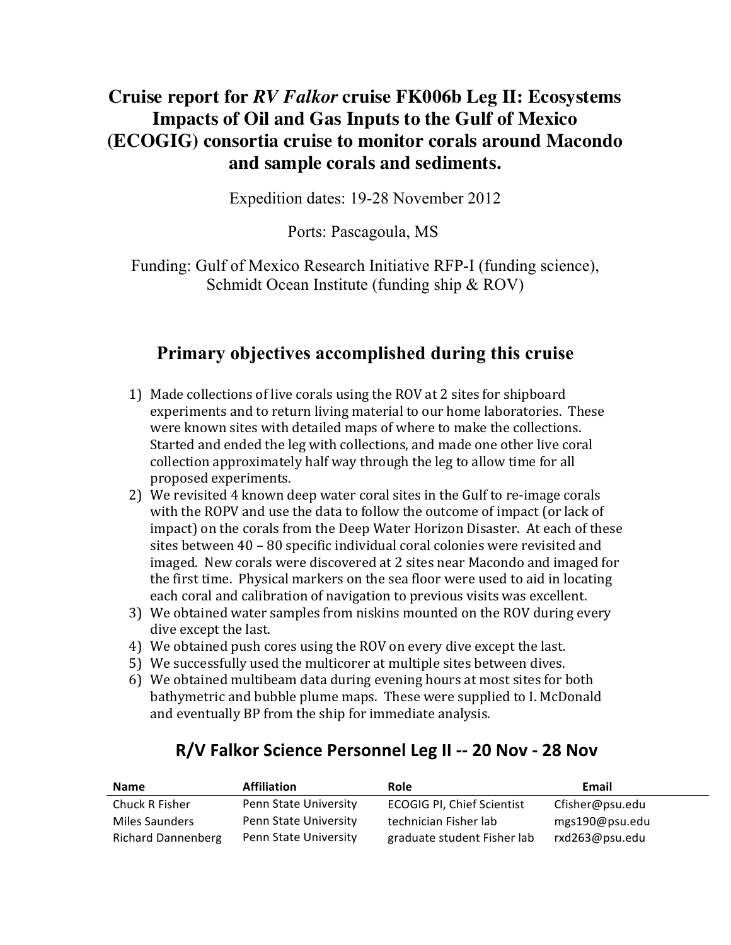## **Cruise report for** *RV Falkor* **cruise FK006b Leg II: Ecosystems Impacts of Oil and Gas Inputs to the Gulf of Mexico (ECOGIG) consortia cruise to monitor corals around Macondo and sample corals and sediments.**

Expedition dates: 19-28 November 2012

Ports: Pascagoula, MS

Funding: Gulf of Mexico Research Initiative RFP-I (funding science), Schmidt Ocean Institute (funding ship & ROV)

# **Primary objectives accomplished during this cruise**

- 1) Made collections of live corals using the ROV at 2 sites for shipboard experiments and to return living material to our home laboratories. These were known sites with detailed maps of where to make the collections. Started and ended the leg with collections, and made one other live coral collection'approximately'half'way'through'the'leg'to'allow'time'for'all' proposed experiments.
- 2) We revisited 4 known deep water coral sites in the Gulf to re-image corals with the ROPV and use the data to follow the outcome of impact (or lack of impact) on the corals from the Deep Water Horizon Disaster. At each of these sites between 40 - 80 specific individual coral colonies were revisited and imaged. New corals were discovered at 2 sites near Macondo and imaged for the first time. Physical markers on the sea floor were used to aid in locating each coral and calibration of navigation to previous visits was excellent.
- 3) We obtained water samples from niskins mounted on the ROV during every dive except the last.
- 4) We obtained push cores using the ROV on every dive except the last.
- 5) We successfully used the multicorer at multiple sites between dives.
- 6) We obtained multibeam data during evening hours at most sites for both bathymetric and bubble plume maps. These were supplied to I. McDonald and eventually BP from the ship for immediate analysis.

#### **R/V Falkor Science Personnel Leg II -- 20 Nov - 28 Nov**

| <b>Name</b>               | <b>Affiliation</b>    | Role                              | Email           |
|---------------------------|-----------------------|-----------------------------------|-----------------|
| Chuck R Fisher            | Penn State University | <b>ECOGIG PI, Chief Scientist</b> | Cfisher@psu.edu |
| Miles Saunders            | Penn State University | technician Fisher lab             | mgs190@psu.edu  |
| <b>Richard Dannenberg</b> | Penn State University | graduate student Fisher lab       | rxd263@psu.edu  |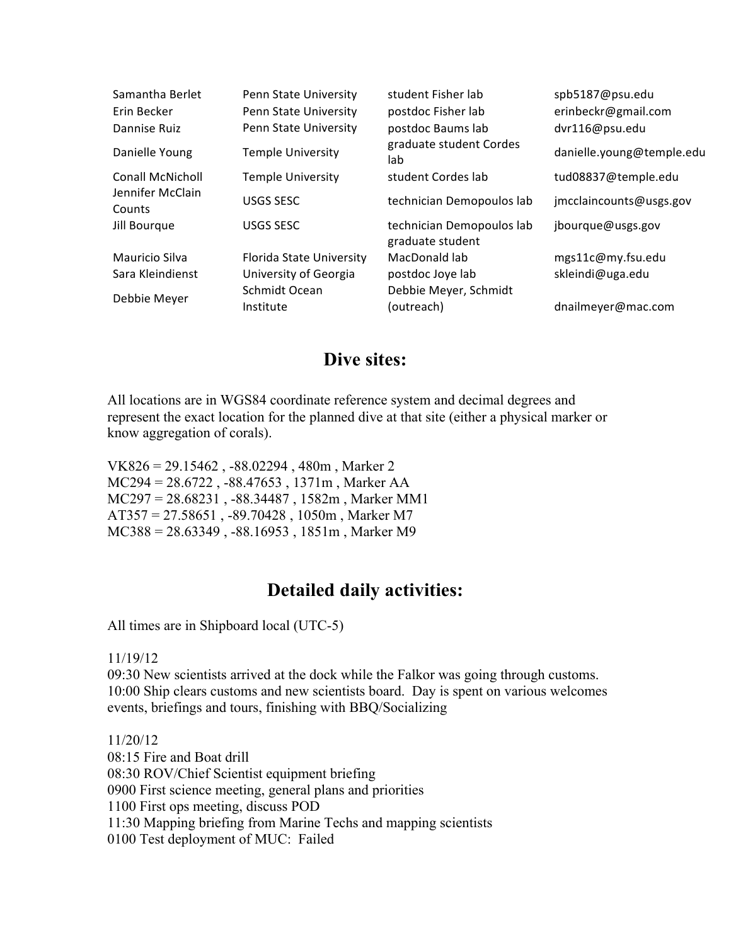| Samantha Berlet<br>Erin Becker | Penn State University<br>Penn State University | student Fisher lab<br>postdoc Fisher lab      | spb5187@psu.edu<br>erinbeckr@gmail.com |
|--------------------------------|------------------------------------------------|-----------------------------------------------|----------------------------------------|
| Dannise Ruiz                   | Penn State University                          | postdoc Baums lab                             | dvr116@psu.edu                         |
| Danielle Young                 | <b>Temple University</b>                       | graduate student Cordes<br>lab                | danielle.young@temple.edu              |
| Conall McNicholl               | <b>Temple University</b>                       | student Cordes lab                            | tud08837@temple.edu                    |
| Jennifer McClain<br>Counts     | USGS SESC                                      | technician Demopoulos lab                     | jmcclaincounts@usgs.gov                |
| Jill Bourgue                   | USGS SESC                                      | technician Demopoulos lab<br>graduate student | jbourque@usgs.gov                      |
| Mauricio Silva                 | Florida State University                       | MacDonald lab                                 | mgs11c@my.fsu.edu                      |
| Sara Kleindienst               | University of Georgia                          | postdoc Joye lab                              | skleindi@uga.edu                       |
| Debbie Meyer                   | Schmidt Ocean<br>Institute                     | Debbie Meyer, Schmidt<br>(outreach)           | dnailmeyer@mac.com                     |

#### **Dive sites:**

All locations are in WGS84 coordinate reference system and decimal degrees and represent the exact location for the planned dive at that site (either a physical marker or know aggregation of corals).

VK826 = 29.15462 , -88.02294 , 480m , Marker 2 MC294 = 28.6722 , -88.47653 , 1371m , Marker AA MC297 = 28.68231 , -88.34487 , 1582m , Marker MM1 AT357 = 27.58651 , -89.70428 , 1050m , Marker M7 MC388 = 28.63349 , -88.16953 , 1851m , Marker M9

### **Detailed daily activities:**

All times are in Shipboard local (UTC-5)

11/19/12

09:30 New scientists arrived at the dock while the Falkor was going through customs. 10:00 Ship clears customs and new scientists board. Day is spent on various welcomes events, briefings and tours, finishing with BBQ/Socializing

11/20/12

08:15 Fire and Boat drill 08:30 ROV/Chief Scientist equipment briefing 0900 First science meeting, general plans and priorities 1100 First ops meeting, discuss POD 11:30 Mapping briefing from Marine Techs and mapping scientists 0100 Test deployment of MUC: Failed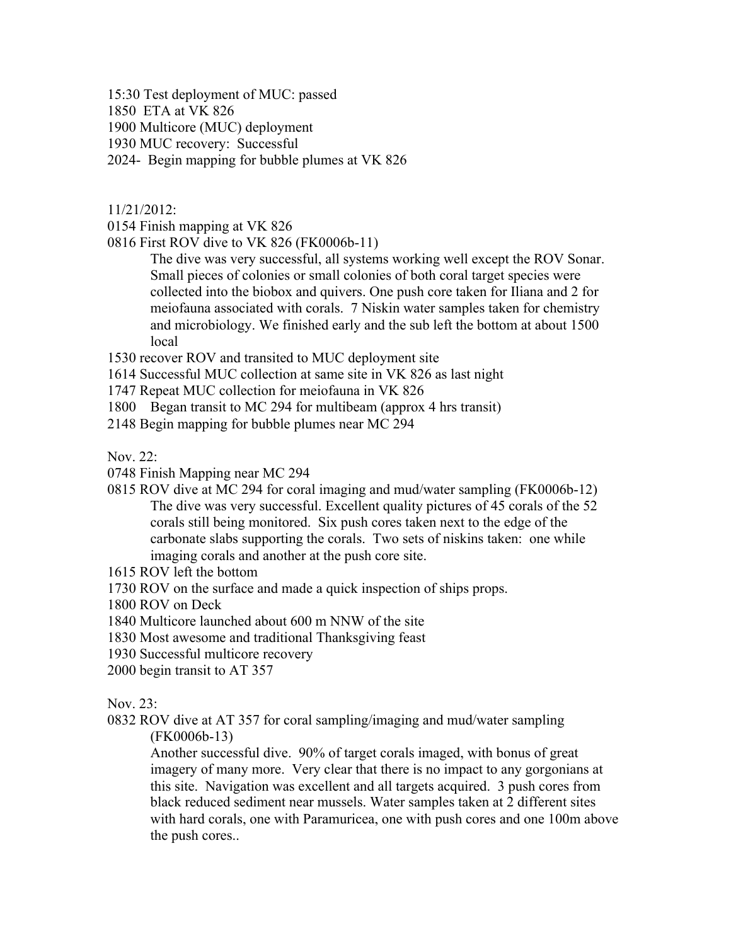15:30 Test deployment of MUC: passed

1850 ETA at VK 826

1900 Multicore (MUC) deployment

1930 MUC recovery: Successful

2024- Begin mapping for bubble plumes at VK 826

11/21/2012:

0154 Finish mapping at VK 826

0816 First ROV dive to VK 826 (FK0006b-11)

The dive was very successful, all systems working well except the ROV Sonar. Small pieces of colonies or small colonies of both coral target species were collected into the biobox and quivers. One push core taken for Iliana and 2 for meiofauna associated with corals. 7 Niskin water samples taken for chemistry and microbiology. We finished early and the sub left the bottom at about 1500 local

1530 recover ROV and transited to MUC deployment site

1614 Successful MUC collection at same site in VK 826 as last night

1747 Repeat MUC collection for meiofauna in VK 826

1800 Began transit to MC 294 for multibeam (approx 4 hrs transit)

2148 Begin mapping for bubble plumes near MC 294

Nov. 22:

0748 Finish Mapping near MC 294

- 0815 ROV dive at MC 294 for coral imaging and mud/water sampling (FK0006b-12) The dive was very successful. Excellent quality pictures of 45 corals of the 52 corals still being monitored. Six push cores taken next to the edge of the carbonate slabs supporting the corals. Two sets of niskins taken: one while imaging corals and another at the push core site.
- 1615 ROV left the bottom
- 1730 ROV on the surface and made a quick inspection of ships props.
- 1800 ROV on Deck
- 1840 Multicore launched about 600 m NNW of the site
- 1830 Most awesome and traditional Thanksgiving feast
- 1930 Successful multicore recovery
- 2000 begin transit to AT 357

Nov. 23:

0832 ROV dive at AT 357 for coral sampling/imaging and mud/water sampling (FK0006b-13)

Another successful dive. 90% of target corals imaged, with bonus of great imagery of many more. Very clear that there is no impact to any gorgonians at this site. Navigation was excellent and all targets acquired. 3 push cores from black reduced sediment near mussels. Water samples taken at 2 different sites with hard corals, one with Paramuricea, one with push cores and one 100m above the push cores..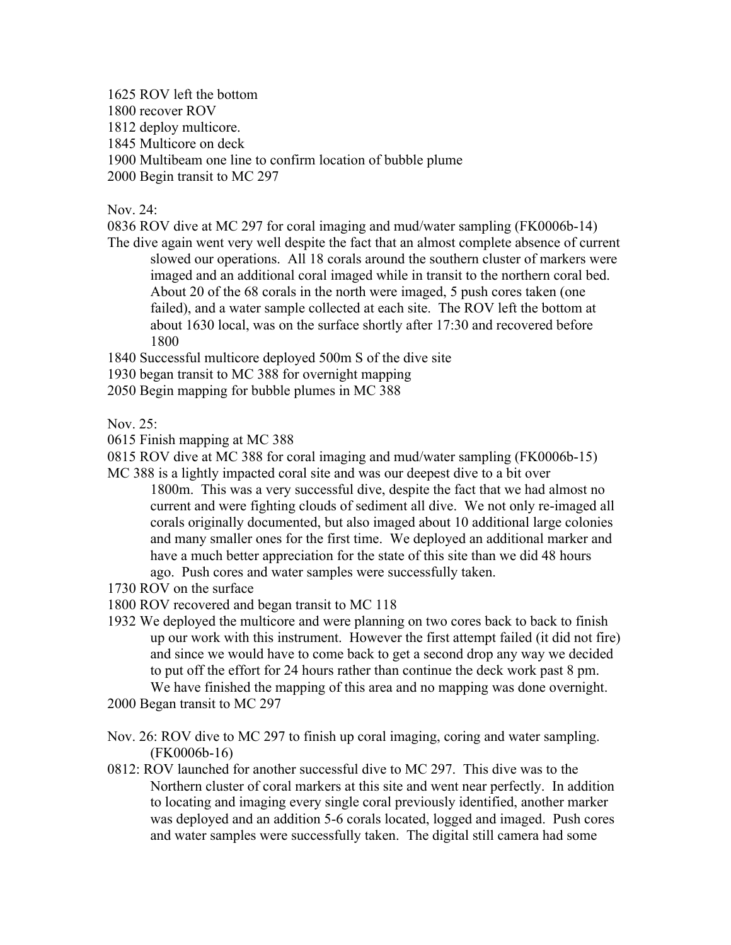1625 ROV left the bottom

1800 recover ROV

1812 deploy multicore.

1845 Multicore on deck

1900 Multibeam one line to confirm location of bubble plume

2000 Begin transit to MC 297

Nov. 24:

0836 ROV dive at MC 297 for coral imaging and mud/water sampling (FK0006b-14) The dive again went very well despite the fact that an almost complete absence of current

slowed our operations. All 18 corals around the southern cluster of markers were imaged and an additional coral imaged while in transit to the northern coral bed. About 20 of the 68 corals in the north were imaged, 5 push cores taken (one failed), and a water sample collected at each site. The ROV left the bottom at about 1630 local, was on the surface shortly after 17:30 and recovered before 1800

1840 Successful multicore deployed 500m S of the dive site

1930 began transit to MC 388 for overnight mapping

2050 Begin mapping for bubble plumes in MC 388

Nov. 25:

0615 Finish mapping at MC 388

0815 ROV dive at MC 388 for coral imaging and mud/water sampling (FK0006b-15)

- MC 388 is a lightly impacted coral site and was our deepest dive to a bit over 1800m. This was a very successful dive, despite the fact that we had almost no current and were fighting clouds of sediment all dive. We not only re-imaged all corals originally documented, but also imaged about 10 additional large colonies and many smaller ones for the first time. We deployed an additional marker and have a much better appreciation for the state of this site than we did 48 hours ago. Push cores and water samples were successfully taken.
- 1730 ROV on the surface

1800 ROV recovered and began transit to MC 118

1932 We deployed the multicore and were planning on two cores back to back to finish up our work with this instrument. However the first attempt failed (it did not fire) and since we would have to come back to get a second drop any way we decided to put off the effort for 24 hours rather than continue the deck work past 8 pm. We have finished the mapping of this area and no mapping was done overnight.

2000 Began transit to MC 297

- Nov. 26: ROV dive to MC 297 to finish up coral imaging, coring and water sampling. (FK0006b-16)
- 0812: ROV launched for another successful dive to MC 297. This dive was to the Northern cluster of coral markers at this site and went near perfectly. In addition to locating and imaging every single coral previously identified, another marker was deployed and an addition 5-6 corals located, logged and imaged. Push cores and water samples were successfully taken. The digital still camera had some